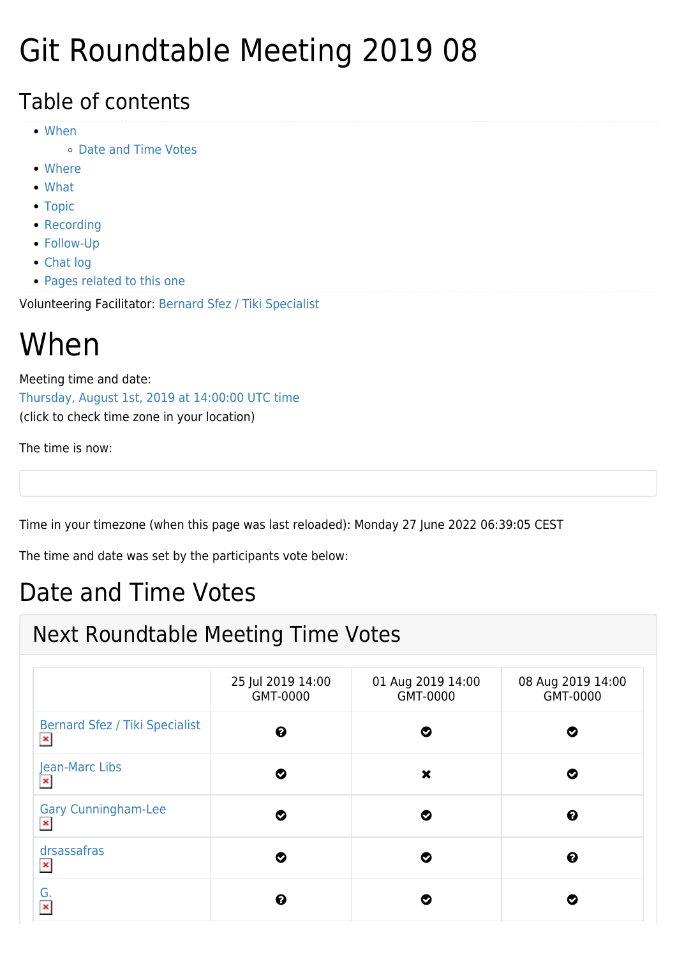# Git Roundtable Meeting 2019 08

#### Table of contents

- [When](#page--1-0)
	- [Date and Time Votes](#page--1-0)
- [Where](#page--1-0)
- [What](#page--1-0)
- [Topic](#page--1-0)
- [Recording](#page--1-0)
- [Follow-Up](#page--1-0)
- [Chat log](#page--1-0)
- [Pages related to this one](#page--1-0)

Volunteering Facilitator: [Bernard Sfez / Tiki Specialist](https://suite.tiki.org/user1974)

#### When

Meeting time and date: [Thursday, August 1st, 2019 at 14:00:00 UTC time](https://www.timeanddate.com/worldclock/fixedtime.html?year=2019&month=08&day=01&hour=14&min=0&sec=0) (click to check time zone in your location)

The time is now:

Time in your timezone (when this page was last reloaded): Monday 27 June 2022 06:39:05 CEST

The time and date was set by the participants vote below:

#### Date and Time Votes

#### Next Roundtable Meeting Time Votes

|                                                         | 25 Jul 2019 14:00<br>GMT-0000 | 01 Aug 2019 14:00<br>GMT-0000 | 08 Aug 2019 14:00<br>GMT-0000 |
|---------------------------------------------------------|-------------------------------|-------------------------------|-------------------------------|
| <b>Bernard Sfez / Tiki Specialist</b><br>$\pmb{\times}$ | ❸                             | Ø                             | Ø                             |
| Jean-Marc Libs<br>$\pmb{\times}$                        | Ø                             | ×                             | Ø                             |
| <b>Gary Cunningham-Lee</b><br>$\pmb{\times}$            | Ø                             | Ø                             | ❸                             |
| drsassafras<br>$\pmb{\times}$                           | Ø                             | Ø                             | ❸                             |
| G.<br>$\pmb{\times}$                                    | ❸                             |                               | Ø                             |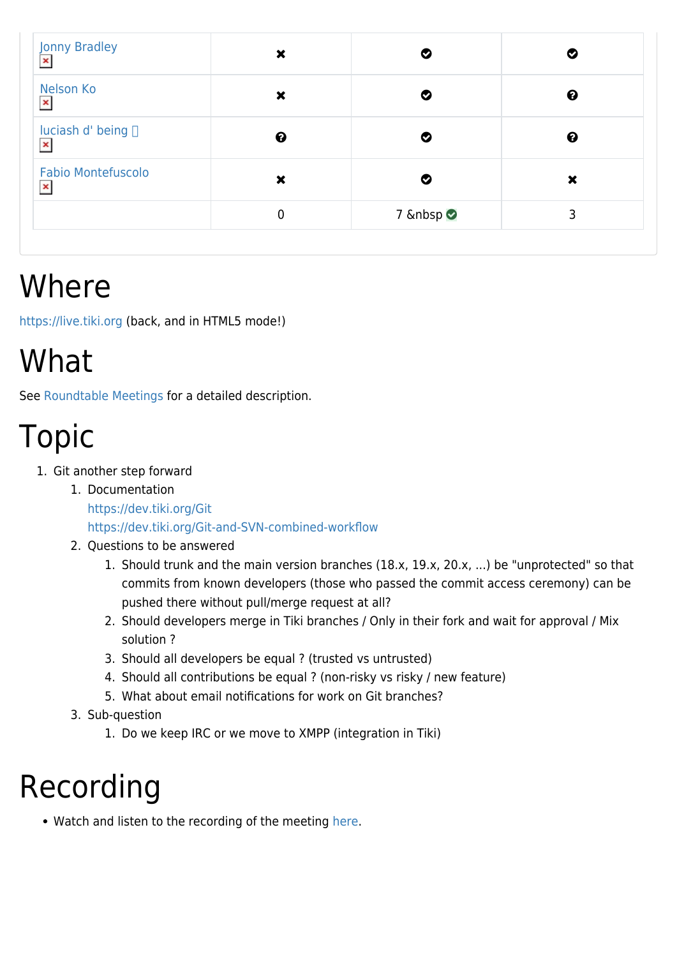| Jonny Bradley                               | ×                     |       | Ø |
|---------------------------------------------|-----------------------|-------|---|
| Nelson Ko<br>$\pmb{\times}$                 | ×                     | Ø     | ❸ |
| luciash d' being □<br>$\pmb{\times}$        | $\boldsymbol{\Theta}$ | Ø     | ❸ |
| <b>Fabio Montefuscolo</b><br>$\pmb{\times}$ | ×                     | Ø     | × |
|                                             | 0                     | 7   ⊘ | 3 |

### Where

<https://live.tiki.org>(back, and in HTML5 mode!)

# What

See [Roundtable Meetings](https://suite.tiki.org/Roundtable-Meetings) for a detailed description.

# Topic

- 1. Git another step forward
	- 1. Documentation <https://dev.tiki.org/Git> <https://dev.tiki.org/Git-and-SVN-combined-workflow>
	- 2. Questions to be answered
		- 1. Should trunk and the main version branches (18.x, 19.x, 20.x, ...) be "unprotected" so that commits from known developers (those who passed the commit access ceremony) can be pushed there without pull/merge request at all?
		- 2. Should developers merge in Tiki branches / Only in their fork and wait for approval / Mix solution ?
		- 3. Should all developers be equal ? (trusted vs untrusted)
		- 4. Should all contributions be equal ? (non-risky vs risky / new feature)
		- 5. What about email notifications for work on Git branches?
	- 3. Sub-question
		- 1. Do we keep IRC or we move to XMPP (integration in Tiki)

### Recording

• Watch and listen to the recording of the meeting [here](https://recordings.rna1.blindsidenetworks.com/citadelrock/d559965849921585c1849af03b7a51638700d979-1564667457432/presentation/).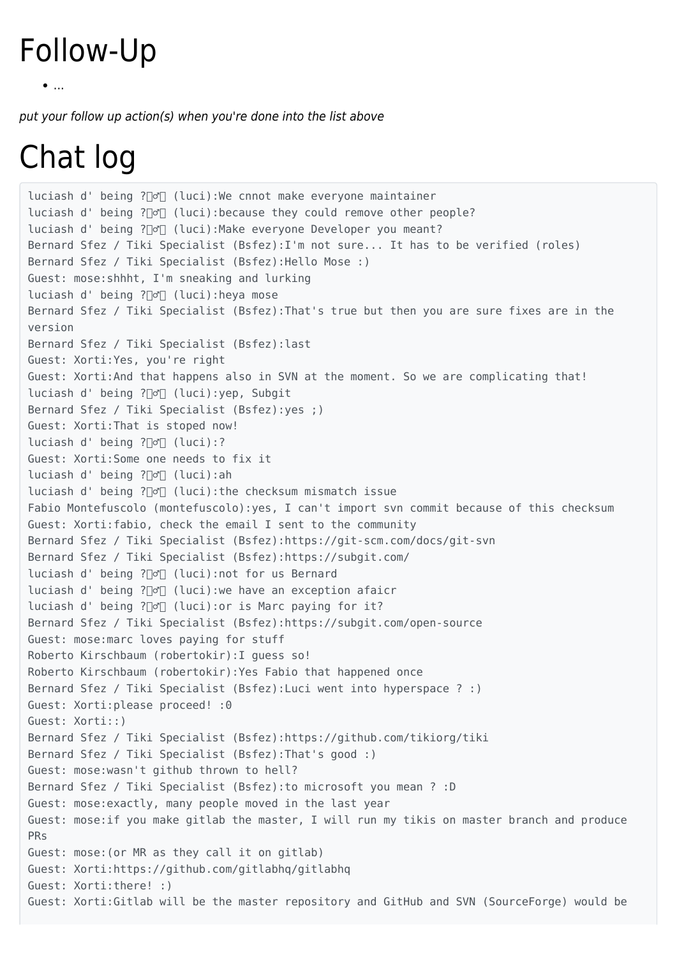#### Follow-Up

```
\bullet....
```
put your follow up action(s) when you're done into the list above

# Chat log

luciash d' being ?♂️ (luci):We cnnot make everyone maintainer luciash d' being ? $\Box$  (luci): because they could remove other people? luciash d' being ?♂️ (luci):Make everyone Developer you meant? Bernard Sfez / Tiki Specialist (Bsfez):I'm not sure... It has to be verified (roles) Bernard Sfez / Tiki Specialist (Bsfez):Hello Mose :) Guest: mose:shhht, I'm sneaking and lurking luciash d' being ?∏o<sup>n</sup> (luci): heya mose Bernard Sfez / Tiki Specialist (Bsfez):That's true but then you are sure fixes are in the version Bernard Sfez / Tiki Specialist (Bsfez):last Guest: Xorti:Yes, you're right Guest: Xorti:And that happens also in SVN at the moment. So we are complicating that! luciash d' being ?♂️ (luci):yep, Subgit Bernard Sfez / Tiki Specialist (Bsfez):yes ;) Guest: Xorti:That is stoped now! luciash d' being ?∏o<sup>n</sup> (luci):? Guest: Xorti:Some one needs to fix it luciash d' being ?♂️ (luci):ah luciash d' being ?♂️ (luci):the checksum mismatch issue Fabio Montefuscolo (montefuscolo):yes, I can't import svn commit because of this checksum Guest: Xorti:fabio, check the email I sent to the community Bernard Sfez / Tiki Specialist (Bsfez):https://git-scm.com/docs/git-svn Bernard Sfez / Tiki Specialist (Bsfez):https://subgit.com/ luciash d' being ?♂️ (luci):not for us Bernard luciash d' being ?∏o<sup>'</sup> (luci):we have an exception afaicr luciash d' being ?∏o<sup>∞</sup> (luci):or is Marc paying for it? Bernard Sfez / Tiki Specialist (Bsfez):https://subgit.com/open-source Guest: mose:marc loves paying for stuff Roberto Kirschbaum (robertokir):I guess so! Roberto Kirschbaum (robertokir):Yes Fabio that happened once Bernard Sfez / Tiki Specialist (Bsfez):Luci went into hyperspace ? :) Guest: Xorti:please proceed! :0 Guest: Xorti::) Bernard Sfez / Tiki Specialist (Bsfez):https://github.com/tikiorg/tiki Bernard Sfez / Tiki Specialist (Bsfez):That's good :) Guest: mose:wasn't github thrown to hell? Bernard Sfez / Tiki Specialist (Bsfez):to microsoft you mean ? :D Guest: mose:exactly, many people moved in the last year Guest: mose:if you make gitlab the master, I will run my tikis on master branch and produce PRs Guest: mose:(or MR as they call it on gitlab) Guest: Xorti:https://github.com/gitlabhq/gitlabhq Guest: Xorti:there! :) Guest: Xorti:Gitlab will be the master repository and GitHub and SVN (SourceForge) would be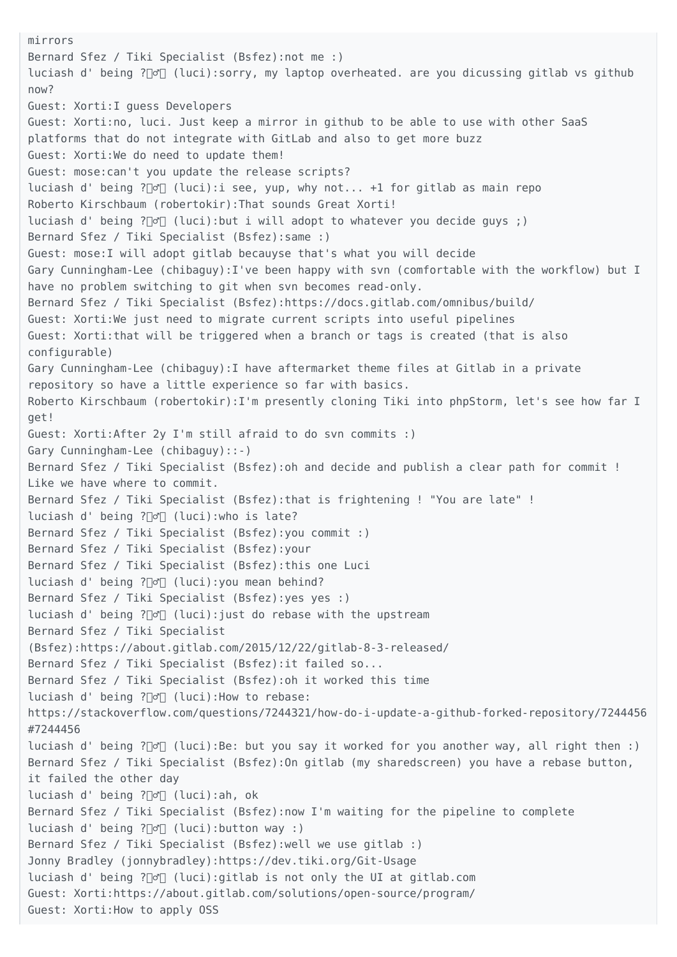mirrors Bernard Sfez / Tiki Specialist (Bsfez):not me :) luciash d' being ?♂️ (luci):sorry, my laptop overheated. are you dicussing gitlab vs github now? Guest: Xorti:I guess Developers Guest: Xorti:no, luci. Just keep a mirror in github to be able to use with other SaaS platforms that do not integrate with GitLab and also to get more buzz Guest: Xorti:We do need to update them! Guest: mose:can't you update the release scripts? luciash d' being ? $\mathbb{C} \cap$  (luci):i see, yup, why not... +1 for gitlab as main repo Roberto Kirschbaum (robertokir):That sounds Great Xorti! luciash d' being ? $\mathbb{C}$  (luci):but i will adopt to whatever you decide guys ;) Bernard Sfez / Tiki Specialist (Bsfez):same :) Guest: mose:I will adopt gitlab becauyse that's what you will decide Gary Cunningham-Lee (chibaguy):I've been happy with svn (comfortable with the workflow) but I have no problem switching to git when svn becomes read-only. Bernard Sfez / Tiki Specialist (Bsfez):https://docs.gitlab.com/omnibus/build/ Guest: Xorti:We just need to migrate current scripts into useful pipelines Guest: Xorti:that will be triggered when a branch or tags is created (that is also configurable) Gary Cunningham-Lee (chibaguy):I have aftermarket theme files at Gitlab in a private repository so have a little experience so far with basics. Roberto Kirschbaum (robertokir):I'm presently cloning Tiki into phpStorm, let's see how far I get! Guest: Xorti:After 2y I'm still afraid to do svn commits :) Gary Cunningham-Lee (chibaguy)::-) Bernard Sfez / Tiki Specialist (Bsfez):oh and decide and publish a clear path for commit ! Like we have where to commit. Bernard Sfez / Tiki Specialist (Bsfez):that is frightening ! "You are late" ! luciash d' being ?∏o<sup>n</sup> (luci):who is late? Bernard Sfez / Tiki Specialist (Bsfez):you commit :) Bernard Sfez / Tiki Specialist (Bsfez):your Bernard Sfez / Tiki Specialist (Bsfez):this one Luci luciash d' being ?∏o<sup>n</sup> (luci): you mean behind? Bernard Sfez / Tiki Specialist (Bsfez):yes yes :) luciash d' being ?[d] (luci): just do rebase with the upstream Bernard Sfez / Tiki Specialist (Bsfez):https://about.gitlab.com/2015/12/22/gitlab-8-3-released/ Bernard Sfez / Tiki Specialist (Bsfez):it failed so... Bernard Sfez / Tiki Specialist (Bsfez):oh it worked this time luciash d' being ?♂️ (luci):How to rebase: https://stackoverflow.com/questions/7244321/how-do-i-update-a-github-forked-repository/7244456 #7244456 luciash d' being ?∏o<sup>∞</sup> (luci):Be: but you say it worked for you another way, all right then :) Bernard Sfez / Tiki Specialist (Bsfez):On gitlab (my sharedscreen) you have a rebase button, it failed the other day luciash d' being ?♂️ (luci):ah, ok Bernard Sfez / Tiki Specialist (Bsfez):now I'm waiting for the pipeline to complete luciash d' being ?∏o<sup>n</sup> (luci):button way :) Bernard Sfez / Tiki Specialist (Bsfez):well we use gitlab :) Jonny Bradley (jonnybradley):https://dev.tiki.org/Git-Usage luciash d' being ?♂️ (luci):gitlab is not only the UI at gitlab.com Guest: Xorti:https://about.gitlab.com/solutions/open-source/program/ Guest: Xorti:How to apply OSS